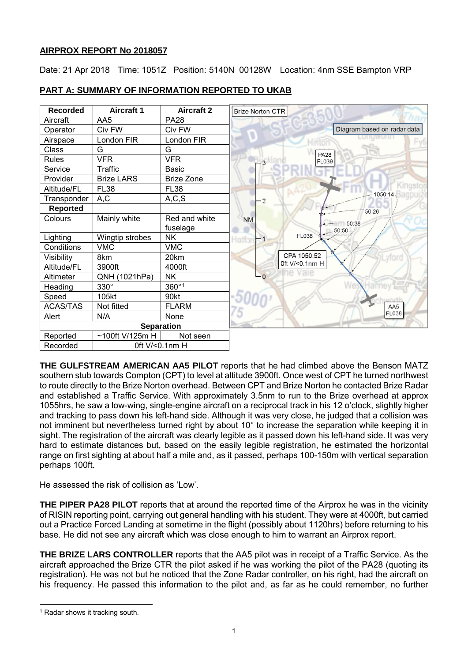# **AIRPROX REPORT No 2018057**

Date: 21 Apr 2018 Time: 1051Z Position: 5140N 00128W Location: 4nm SSE Bampton VRP

| <b>Recorded</b>   | <b>Aircraft 1</b> | <b>Aircraft 2</b> | <b>Brize Norton CTR</b>     |
|-------------------|-------------------|-------------------|-----------------------------|
| Aircraft          | AA5               | <b>PA28</b>       |                             |
| Operator          | Civ FW            | Civ FW            | Diagram based on radar data |
| Airspace          | London FIR        | London FIR        | $-vb$                       |
| Class             | G                 | G                 | <b>PA28</b>                 |
| <b>Rules</b>      | <b>VFR</b>        | <b>VFR</b>        | <b>FL039</b>                |
| Service           | Traffic           | <b>Basic</b>      |                             |
| Provider          | <b>Brize LARS</b> | <b>Brize Zone</b> |                             |
| Altitude/FL       | <b>FL38</b>       | <b>FL38</b>       | Kingstoj<br>1050:14.        |
| Transponder       | A,C               | A, C, S           | $\overline{2}$              |
| <b>Reported</b>   |                   |                   | 50:26                       |
| Colours           | Mainly white      | Red and white     | <b>NM</b><br>$-$ 50:38      |
|                   |                   | fuselage          | 50:50                       |
| Lighting          | Wingtip strobes   | <b>NK</b>         | <b>FL038</b><br>Hattoi      |
| Conditions        | <b>VMC</b>        | <b>VMC</b>        |                             |
| Visibility        | 8km               | 20km              | CPA 1050:52                 |
| Altitude/FL       | 3900ft            | 4000ft            | 0ft V/<0.1nm H              |
| Altimeter         | QNH (1021hPa)     | <b>NK</b>         | O                           |
| Heading           | 330°              | 360°1             |                             |
| Speed             | 105kt             | 90kt              |                             |
| <b>ACAS/TAS</b>   | Not fitted        | <b>FLARM</b>      | AA5                         |
| Alert             | N/A               | None              | FL038                       |
| <b>Separation</b> |                   |                   |                             |
| Reported          | ~100ft V/125m H   | Not seen          |                             |
| Recorded          | 0ft V/<0.1nm H    |                   |                             |

# **PART A: SUMMARY OF INFORMATION REPORTED TO UKAB**

**THE GULFSTREAM AMERICAN AA5 PILOT** reports that he had climbed above the Benson MATZ southern stub towards Compton (CPT) to level at altitude 3900ft. Once west of CPT he turned northwest to route directly to the Brize Norton overhead. Between CPT and Brize Norton he contacted Brize Radar and established a Traffic Service. With approximately 3.5nm to run to the Brize overhead at approx 1055hrs, he saw a low-wing, single-engine aircraft on a reciprocal track in his 12 o'clock, slightly higher and tracking to pass down his left-hand side. Although it was very close, he judged that a collision was not imminent but nevertheless turned right by about 10° to increase the separation while keeping it in sight. The registration of the aircraft was clearly legible as it passed down his left-hand side. It was very hard to estimate distances but, based on the easily legible registration, he estimated the horizontal range on first sighting at about half a mile and, as it passed, perhaps 100-150m with vertical separation perhaps 100ft.

He assessed the risk of collision as 'Low'.

**THE PIPER PA28 PILOT** reports that at around the reported time of the Airprox he was in the vicinity of RISIN reporting point, carrying out general handling with his student. They were at 4000ft, but carried out a Practice Forced Landing at sometime in the flight (possibly about 1120hrs) before returning to his base. He did not see any aircraft which was close enough to him to warrant an Airprox report.

**THE BRIZE LARS CONTROLLER** reports that the AA5 pilot was in receipt of a Traffic Service. As the aircraft approached the Brize CTR the pilot asked if he was working the pilot of the PA28 (quoting its registration). He was not but he noticed that the Zone Radar controller, on his right, had the aircraft on his frequency. He passed this information to the pilot and, as far as he could remember, no further

<span id="page-0-0"></span> $\overline{\phantom{a}}$ <sup>1</sup> Radar shows it tracking south.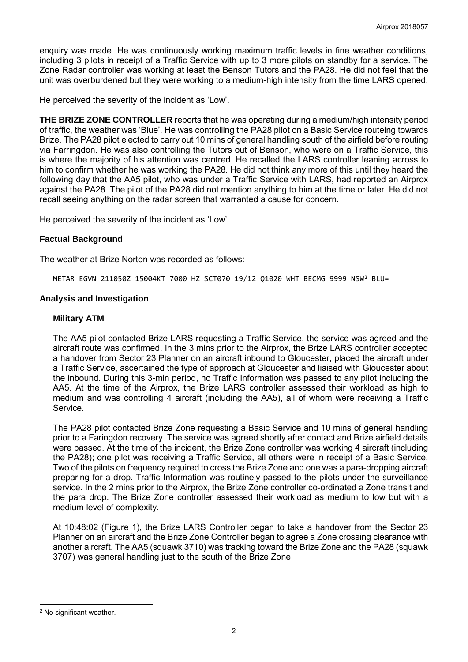enquiry was made. He was continuously working maximum traffic levels in fine weather conditions, including 3 pilots in receipt of a Traffic Service with up to 3 more pilots on standby for a service. The Zone Radar controller was working at least the Benson Tutors and the PA28. He did not feel that the unit was overburdened but they were working to a medium-high intensity from the time LARS opened.

He perceived the severity of the incident as 'Low'.

**THE BRIZE ZONE CONTROLLER** reports that he was operating during a medium/high intensity period of traffic, the weather was 'Blue'. He was controlling the PA28 pilot on a Basic Service routeing towards Brize. The PA28 pilot elected to carry out 10 mins of general handling south of the airfield before routing via Farringdon. He was also controlling the Tutors out of Benson, who were on a Traffic Service, this is where the majority of his attention was centred. He recalled the LARS controller leaning across to him to confirm whether he was working the PA28. He did not think any more of this until they heard the following day that the AA5 pilot, who was under a Traffic Service with LARS, had reported an Airprox against the PA28. The pilot of the PA28 did not mention anything to him at the time or later. He did not recall seeing anything on the radar screen that warranted a cause for concern.

He perceived the severity of the incident as 'Low'.

# **Factual Background**

The weather at Brize Norton was recorded as follows:

METAR EGVN 211050Z 15004KT 7000 HZ SCT070 19/12 Q1020 WHT BECMG 9999 NSW[2](#page-1-0) BLU=

# **Analysis and Investigation**

# **Military ATM**

The AA5 pilot contacted Brize LARS requesting a Traffic Service, the service was agreed and the aircraft route was confirmed. In the 3 mins prior to the Airprox, the Brize LARS controller accepted a handover from Sector 23 Planner on an aircraft inbound to Gloucester, placed the aircraft under a Traffic Service, ascertained the type of approach at Gloucester and liaised with Gloucester about the inbound. During this 3-min period, no Traffic Information was passed to any pilot including the AA5. At the time of the Airprox, the Brize LARS controller assessed their workload as high to medium and was controlling 4 aircraft (including the AA5), all of whom were receiving a Traffic Service.

The PA28 pilot contacted Brize Zone requesting a Basic Service and 10 mins of general handling prior to a Faringdon recovery. The service was agreed shortly after contact and Brize airfield details were passed. At the time of the incident, the Brize Zone controller was working 4 aircraft (including the PA28); one pilot was receiving a Traffic Service, all others were in receipt of a Basic Service. Two of the pilots on frequency required to cross the Brize Zone and one was a para-dropping aircraft preparing for a drop. Traffic Information was routinely passed to the pilots under the surveillance service. In the 2 mins prior to the Airprox, the Brize Zone controller co-ordinated a Zone transit and the para drop. The Brize Zone controller assessed their workload as medium to low but with a medium level of complexity.

At 10:48:02 (Figure 1), the Brize LARS Controller began to take a handover from the Sector 23 Planner on an aircraft and the Brize Zone Controller began to agree a Zone crossing clearance with another aircraft. The AA5 (squawk 3710) was tracking toward the Brize Zone and the PA28 (squawk 3707) was general handling just to the south of the Brize Zone.

 $\overline{\phantom{a}}$ 

<span id="page-1-0"></span><sup>2</sup> No significant weather.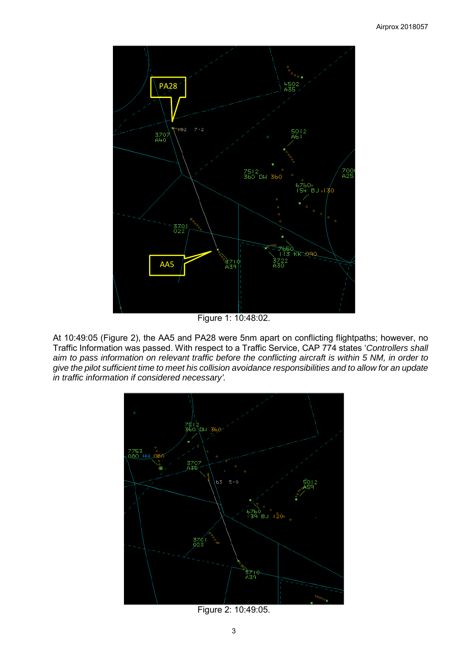

Figure 1: 10:48:02.

At 10:49:05 (Figure 2), the AA5 and PA28 were 5nm apart on conflicting flightpaths; however, no Traffic Information was passed. With respect to a Traffic Service, CAP 774 states '*Controllers shall aim to pass information on relevant traffic before the conflicting aircraft is within 5 NM, in order to give the pilot sufficient time to meet his collision avoidance responsibilities and to allow for an update in traffic information if considered necessary'.*



Figure 2: 10:49:05.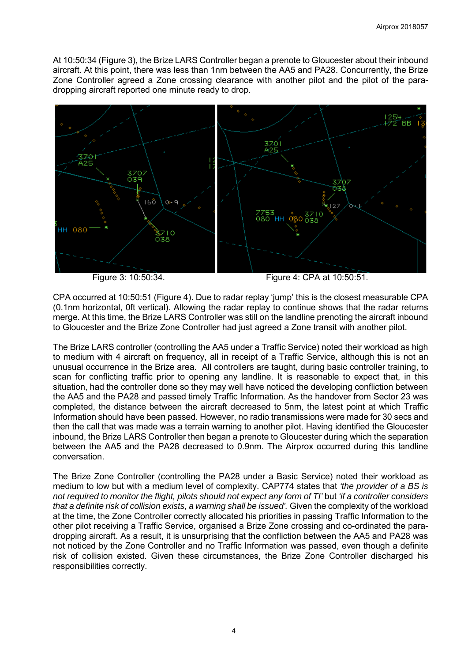At 10:50:34 (Figure 3), the Brize LARS Controller began a prenote to Gloucester about their inbound aircraft. At this point, there was less than 1nm between the AA5 and PA28. Concurrently, the Brize Zone Controller agreed a Zone crossing clearance with another pilot and the pilot of the paradropping aircraft reported one minute ready to drop.



Figure 3: 10:50:34. Figure 4: CPA at 10:50:51.

CPA occurred at 10:50:51 (Figure 4). Due to radar replay 'jump' this is the closest measurable CPA (0.1nm horizontal, 0ft vertical). Allowing the radar replay to continue shows that the radar returns merge. At this time, the Brize LARS Controller was still on the landline prenoting the aircraft inbound to Gloucester and the Brize Zone Controller had just agreed a Zone transit with another pilot.

The Brize LARS controller (controlling the AA5 under a Traffic Service) noted their workload as high to medium with 4 aircraft on frequency, all in receipt of a Traffic Service, although this is not an unusual occurrence in the Brize area. All controllers are taught, during basic controller training, to scan for conflicting traffic prior to opening any landline. It is reasonable to expect that, in this situation, had the controller done so they may well have noticed the developing confliction between the AA5 and the PA28 and passed timely Traffic Information. As the handover from Sector 23 was completed, the distance between the aircraft decreased to 5nm, the latest point at which Traffic Information should have been passed. However, no radio transmissions were made for 30 secs and then the call that was made was a terrain warning to another pilot. Having identified the Gloucester inbound, the Brize LARS Controller then began a prenote to Gloucester during which the separation between the AA5 and the PA28 decreased to 0.9nm. The Airprox occurred during this landline conversation.

The Brize Zone Controller (controlling the PA28 under a Basic Service) noted their workload as medium to low but with a medium level of complexity. CAP774 states that *'the provider of a BS is not required to monitor the flight, pilots should not expect any form of TI'* but *'if a controller considers that a definite risk of collision exists, a warning shall be issued'.* Given the complexity of the workload at the time, the Zone Controller correctly allocated his priorities in passing Traffic Information to the other pilot receiving a Traffic Service, organised a Brize Zone crossing and co-ordinated the paradropping aircraft. As a result, it is unsurprising that the confliction between the AA5 and PA28 was not noticed by the Zone Controller and no Traffic Information was passed, even though a definite risk of collision existed. Given these circumstances, the Brize Zone Controller discharged his responsibilities correctly.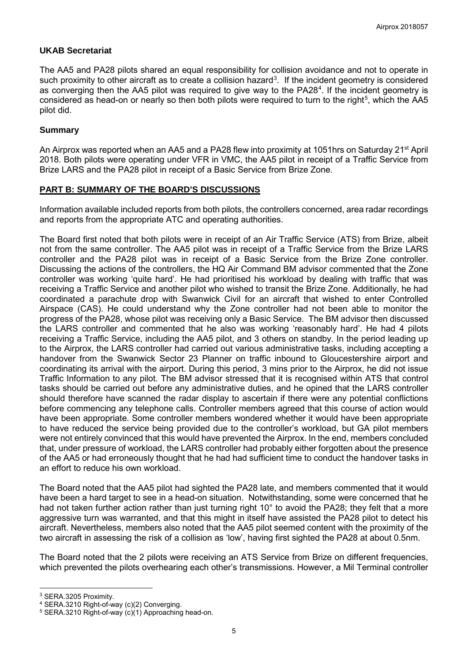# **UKAB Secretariat**

The AA5 and PA28 pilots shared an equal responsibility for collision avoidance and not to operate in such proximity to other aircraft as to create a collision hazard<sup>[3](#page-4-0)</sup>. If the incident geometry is considered as converging then the AA5 pilot was required to give way to the PA28<sup>[4](#page-4-1)</sup>. If the incident geometry is considered as head-on or nearly so then both pilots were required to turn to the right<sup>[5](#page-4-2)</sup>, which the AA5 pilot did.

# **Summary**

An Airprox was reported when an AA5 and a PA28 flew into proximity at 1051hrs on Saturday 21<sup>st</sup> April 2018. Both pilots were operating under VFR in VMC, the AA5 pilot in receipt of a Traffic Service from Brize LARS and the PA28 pilot in receipt of a Basic Service from Brize Zone.

# **PART B: SUMMARY OF THE BOARD'S DISCUSSIONS**

Information available included reports from both pilots, the controllers concerned, area radar recordings and reports from the appropriate ATC and operating authorities.

The Board first noted that both pilots were in receipt of an Air Traffic Service (ATS) from Brize, albeit not from the same controller. The AA5 pilot was in receipt of a Traffic Service from the Brize LARS controller and the PA28 pilot was in receipt of a Basic Service from the Brize Zone controller. Discussing the actions of the controllers, the HQ Air Command BM advisor commented that the Zone controller was working 'quite hard'. He had prioritised his workload by dealing with traffic that was receiving a Traffic Service and another pilot who wished to transit the Brize Zone. Additionally, he had coordinated a parachute drop with Swanwick Civil for an aircraft that wished to enter Controlled Airspace (CAS). He could understand why the Zone controller had not been able to monitor the progress of the PA28, whose pilot was receiving only a Basic Service. The BM advisor then discussed the LARS controller and commented that he also was working 'reasonably hard'. He had 4 pilots receiving a Traffic Service, including the AA5 pilot, and 3 others on standby. In the period leading up to the Airprox, the LARS controller had carried out various administrative tasks, including accepting a handover from the Swanwick Sector 23 Planner on traffic inbound to Gloucestershire airport and coordinating its arrival with the airport. During this period, 3 mins prior to the Airprox, he did not issue Traffic Information to any pilot. The BM advisor stressed that it is recognised within ATS that control tasks should be carried out before any administrative duties, and he opined that the LARS controller should therefore have scanned the radar display to ascertain if there were any potential conflictions before commencing any telephone calls. Controller members agreed that this course of action would have been appropriate. Some controller members wondered whether it would have been appropriate to have reduced the service being provided due to the controller's workload, but GA pilot members were not entirely convinced that this would have prevented the Airprox. In the end, members concluded that, under pressure of workload, the LARS controller had probably either forgotten about the presence of the AA5 or had erroneously thought that he had had sufficient time to conduct the handover tasks in an effort to reduce his own workload.

The Board noted that the AA5 pilot had sighted the PA28 late, and members commented that it would have been a hard target to see in a head-on situation. Notwithstanding, some were concerned that he had not taken further action rather than just turning right 10° to avoid the PA28; they felt that a more aggressive turn was warranted, and that this might in itself have assisted the PA28 pilot to detect his aircraft. Nevertheless, members also noted that the AA5 pilot seemed content with the proximity of the two aircraft in assessing the risk of a collision as 'low', having first sighted the PA28 at about 0.5nm.

The Board noted that the 2 pilots were receiving an ATS Service from Brize on different frequencies, which prevented the pilots overhearing each other's transmissions. However, a Mil Terminal controller

 $\overline{\phantom{a}}$ 

<span id="page-4-0"></span><sup>3</sup> SERA.3205 Proximity.

<span id="page-4-1"></span><sup>4</sup> SERA.3210 Right-of-way (c)(2) Converging.

<span id="page-4-2"></span><sup>5</sup> SERA.3210 Right-of-way (c)(1) Approaching head-on.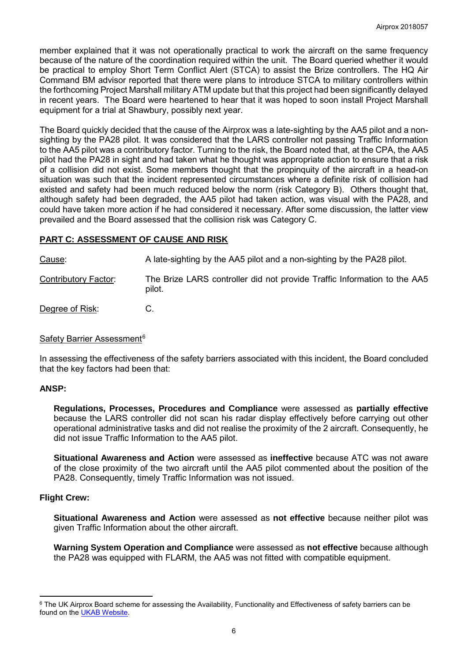member explained that it was not operationally practical to work the aircraft on the same frequency because of the nature of the coordination required within the unit. The Board queried whether it would be practical to employ Short Term Conflict Alert (STCA) to assist the Brize controllers. The HQ Air Command BM advisor reported that there were plans to introduce STCA to military controllers within the forthcoming Project Marshall military ATM update but that this project had been significantly delayed in recent years. The Board were heartened to hear that it was hoped to soon install Project Marshall equipment for a trial at Shawbury, possibly next year.

The Board quickly decided that the cause of the Airprox was a late-sighting by the AA5 pilot and a nonsighting by the PA28 pilot. It was considered that the LARS controller not passing Traffic Information to the AA5 pilot was a contributory factor. Turning to the risk, the Board noted that, at the CPA, the AA5 pilot had the PA28 in sight and had taken what he thought was appropriate action to ensure that a risk of a collision did not exist. Some members thought that the propinquity of the aircraft in a head-on situation was such that the incident represented circumstances where a definite risk of collision had existed and safety had been much reduced below the norm (risk Category B). Others thought that, although safety had been degraded, the AA5 pilot had taken action, was visual with the PA28, and could have taken more action if he had considered it necessary. After some discussion, the latter view prevailed and the Board assessed that the collision risk was Category C.

### **PART C: ASSESSMENT OF CAUSE AND RISK**

Cause: A late-sighting by the AA5 pilot and a non-sighting by the PA28 pilot.

Contributory Factor: The Brize LARS controller did not provide Traffic Information to the AA5 pilot.

Degree of Risk: C.

### Safety Barrier Assessment<sup>[6](#page-5-0)</sup>

In assessing the effectiveness of the safety barriers associated with this incident, the Board concluded that the key factors had been that:

### **ANSP:**

**Regulations, Processes, Procedures and Compliance** were assessed as **partially effective** because the LARS controller did not scan his radar display effectively before carrying out other operational administrative tasks and did not realise the proximity of the 2 aircraft. Consequently, he did not issue Traffic Information to the AA5 pilot.

**Situational Awareness and Action** were assessed as **ineffective** because ATC was not aware of the close proximity of the two aircraft until the AA5 pilot commented about the position of the PA28. Consequently, timely Traffic Information was not issued.

### **Flight Crew:**

l

**Situational Awareness and Action** were assessed as **not effective** because neither pilot was given Traffic Information about the other aircraft.

**Warning System Operation and Compliance** were assessed as **not effective** because although the PA28 was equipped with FLARM, the AA5 was not fitted with compatible equipment.

<span id="page-5-0"></span><sup>&</sup>lt;sup>6</sup> The UK Airprox Board scheme for assessing the Availability, Functionality and Effectiveness of safety barriers can be found on the [UKAB Website.](http://www.airproxboard.org.uk/Learn-more/Airprox-Barrier-Assessment/)